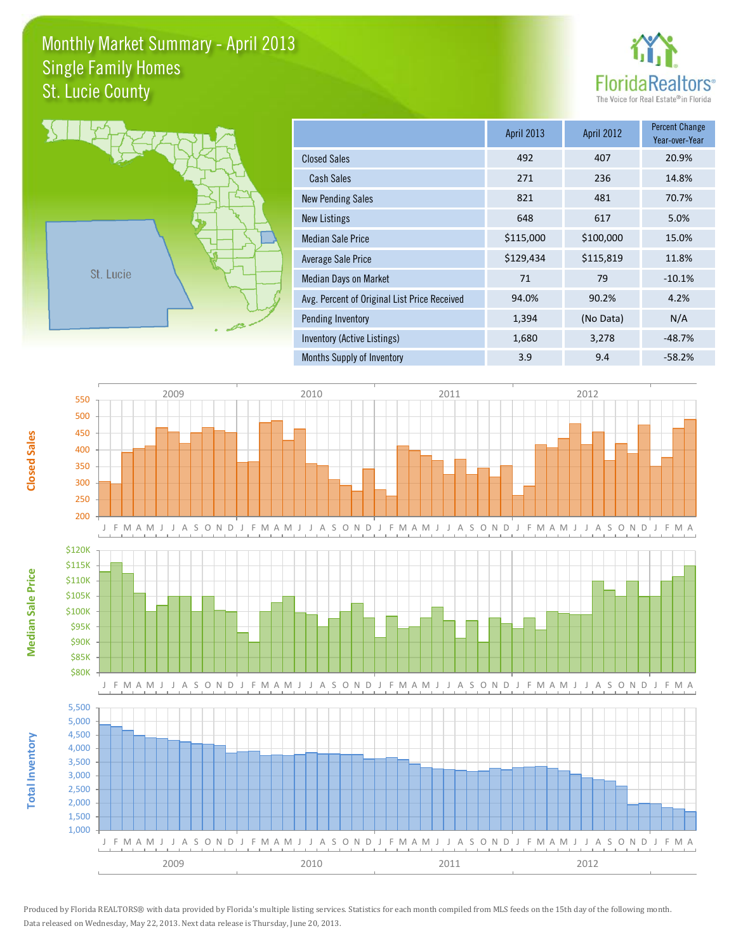## Monthly Market Summary - April 2013 St. Lucie County Single Family Homes





**Median Sale Price**

**Median Sale Price** 

**Closed Sales**

**Total Inventory**

**Total Inventory** 

|                                              | <b>April 2013</b> | <b>April 2012</b> | <b>Percent Change</b><br>Year-over-Year |
|----------------------------------------------|-------------------|-------------------|-----------------------------------------|
| <b>Closed Sales</b>                          | 492               | 407               | 20.9%                                   |
| <b>Cash Sales</b>                            | 271               | 236               | 14.8%                                   |
| <b>New Pending Sales</b>                     | 821               | 481               | 70.7%                                   |
| New Listings                                 | 648               | 617               | 5.0%                                    |
| <b>Median Sale Price</b>                     | \$115,000         | \$100,000         | 15.0%                                   |
| Average Sale Price                           | \$129,434         | \$115,819         | 11.8%                                   |
| <b>Median Days on Market</b>                 | 71                | 79                | $-10.1%$                                |
| Avg. Percent of Original List Price Received | 94.0%             | 90.2%             | 4.2%                                    |
| <b>Pending Inventory</b>                     | 1,394             | (No Data)         | N/A                                     |
| Inventory (Active Listings)                  | 1,680             | 3,278             | $-48.7%$                                |
| Months Supply of Inventory                   | 3.9               | 9.4               | $-58.2%$                                |



Produced by Florida REALTORS® with data provided by Florida's multiple listing services. Statistics for each month compiled from MLS feeds on the 15th day of the following month. Data released on Wednesday, May 22, 2013. Next data release is Thursday, June 20, 2013.